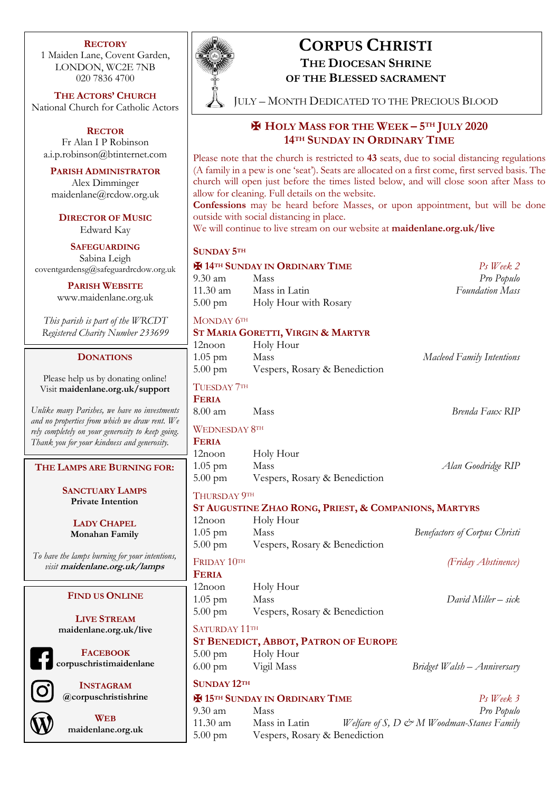#### **RECTORY**

1 Maiden Lane, Covent Garden, LONDON, WC2E 7NB 020 7836 4700

**THE ACTORS' CHURCH** National Church for Catholic Actors

**RECTOR** Fr Alan I P Robinson a.i.p.robinson@btinternet.com

**PARISH ADMINISTRATOR** Alex Dimminger maidenlane@rcdow.org.uk

**DIRECTOR OF MUSIC** Edward Kay

**SAFEGUARDING** Sabina Leigh coventgardensg@safeguardrcdow.org.uk

> **PARISH WEBSITE** www.maidenlane.org.uk

*This parish is part of the WRCDT Registered Charity Number 233699*

### **DONATIONS**

Please help us by donating online! Visit **maidenlane.org.uk/support**

*Unlike many Parishes, we have no investments and no properties from which we draw rent. We rely completely on your generosity to keep going. Thank you for your kindness and generosity.* 

**THE LAMPS ARE BURNING FOR:**

**SANCTUARY LAMPS Private Intention**

**LADY CHAPEL Monahan Family**

*To have the lamps burning for your intentions, visit* **maidenlane.org.uk/lamps**

## **FIND US ONLINE**

**LIVE STREAM maidenlane.org.uk/live**

**FACEBOOK corpuschristimaidenlane**

> **INSTAGRAM @corpuschristishrine**

**WEB maidenlane.org.uk**



# **CORPUS CHRISTI**

**THE DIOCESAN SHRINE OF THE BLESSED SACRAMENT**

JULY – MONTH DEDICATED TO THE PRECIOUS BLOOD

# ✠ **HOLY MASS FOR THE WEEK – 5TH JULY 2020 14TH SUNDAY IN ORDINARY TIME**

Please note that the church is restricted to **43** seats, due to social distancing regulations (A family in a pew is one 'seat'). Seats are allocated on a first come, first served basis. The church will open just before the times listed below, and will close soon after Mass to allow for cleaning. Full details on the website.

**Confessions** may be heard before Masses, or upon appointment, but will be done outside with social distancing in place.

We will continue to live stream on our website at **maidenlane.org.uk/live**

# **SUNDAY 5TH**

# ✠ **14TH SUNDAY IN ORDINARY TIME** *Ps Week 2* 9.30 am Mass *Pro Populo*

11.30 am Mass in Latin *Foundation Mass* 5.00 pm Holy Hour with Rosary

MONDAY 6TH

### **ST MARIA GORETTI, VIRGIN & MARTYR**

| 12noon<br>$1.05$ pm<br>$5.00 \text{ pm}$                                                                                                          | Holy Hour<br>Mass<br>Vespers, Rosary & Benediction | Macleod Family Intentions |
|---------------------------------------------------------------------------------------------------------------------------------------------------|----------------------------------------------------|---------------------------|
| TUESDAY 7TH<br><b>FERIA</b><br>$8.00 \text{ am}$                                                                                                  | Mass                                               | Brenda Faux RIP           |
| <b>WEDNESDAY 8TH</b><br><b>FERIA</b><br>12noon<br>$1.05$ pm                                                                                       | Holy Hour<br>Mass                                  | Alan Goodridge RIP        |
| $5.00$ pm<br>Vespers, Rosary & Benediction<br><b>THURSDAY 9TH</b><br>ST AUGUSTINE ZHAO RONG, PRIEST, & COMPANIONS, MARTYRS<br>Holy Hour<br>12noon |                                                    |                           |

1.05 pm Mass *Benefactors of Corpus Christi* 5.00 pm Vespers, Rosary & Benediction

FRIDAY 10TH *(Friday Abstinence)*

**FERIA**

12noon Holy Hour 1.05 pm Mass *David Miller – sick* 5.00 pm Vespers, Rosary & Benediction

SATURDAY 11TH

# **ST BENEDICT, ABBOT, PATRON OF EUROPE**

- 5.00 pm Holy Hour 6.00 pm Vigil Mass *Bridget Walsh – Anniversary*
- **SUNDAY 12TH**

✠ **15TH SUNDAY IN ORDINARY TIME** *Ps Week 3* 9.30 am Mass *Pro Populo* 11.30 am Mass in Latin *Welfare of S, D & M Woodman-Stanes Family* 5.00 pm Vespers, Rosary & Benediction